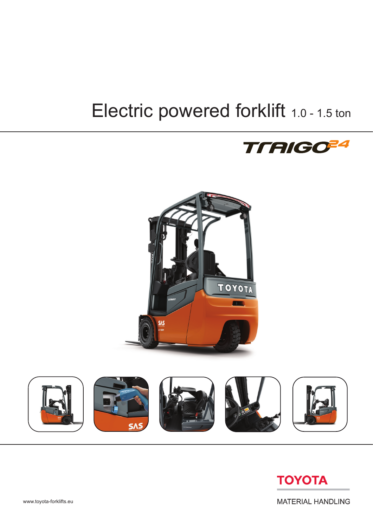# Electric powered forklift 1.0 - 1.5 ton









**MATERIAL HANDLING**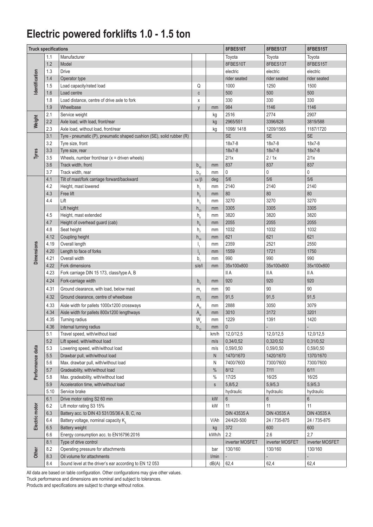## **Electric powered forklifts 1.0 - 1.5 ton**

| <b>Truck specifications</b> |         |                                                                       |                 |             | 8FBES10T           | 8FBES13T           | 8FBES15T        |
|-----------------------------|---------|-----------------------------------------------------------------------|-----------------|-------------|--------------------|--------------------|-----------------|
|                             | 1.1     | Manufacturer                                                          |                 |             | Toyota             | Toyota             | Toyota          |
|                             | 1.2     | Model                                                                 |                 |             | 8FBES10T           | 8FBES13T           | 8FBES15T        |
|                             | 1.3     | Drive                                                                 |                 |             | electric           | electric           | electric        |
|                             | 1.4     | Operator type                                                         |                 |             | rider seated       | rider seated       | rider seated    |
| dentification               | 1.5     | Load capacity/rated load                                              | Q               |             | 1000               | 1250               | 1500            |
|                             | 1.6     | Load centre                                                           | $\mathbb{C}$    |             | 500                | 500                | 500             |
|                             | 1.8     | Load distance, centre of drive axle to fork                           | X               |             | 330                | 330                | 330             |
|                             | 1.9     | Wheelbase                                                             | V               | mm          | 984                | 1146               | 1146            |
|                             | 2.1     | Service weight                                                        |                 | kg          | 2516               | 2774               | 2907            |
| Weight                      | 2.2     | Axle load, with load, front/rear                                      |                 | kg          | 2965/551           | 3396/628           | 3819/588        |
|                             | 2.3     | Axle load, without load, front/rear                                   |                 | kg          | 1098/1418          | 1209/1565          | 1187/1720       |
|                             | 3.1     | Tyre - pneumatic (P), pneumatic shaped cushion (SE), solid rubber (R) |                 |             | <b>SE</b>          | <b>SE</b>          | <b>SE</b>       |
|                             | 3.2     | Tyre size, front                                                      |                 |             | 18x7-8             | 18x7-8             | 18x7-8          |
|                             | 3.3     | Tyre size, rear                                                       |                 |             | 18x7-8             | 18x7-8             | 18x7-8          |
| Tyres                       | 3.5     | Wheels, number front/rear $(x =$ driven wheels)                       |                 |             | 2/1x               | 2/1x               | 2/1x            |
|                             | 3.6     | Track width, front                                                    | $b_{10}$        | mm          | 837                | 837                | 837             |
|                             | 3.7     | Track width, rear                                                     | $b_{11}$        | mm          | $\mathsf{0}$       | 0                  | 0               |
|                             | 4.1     | Tilt of mast/fork carriage forward/backward                           | $\alpha/\beta$  | deg         | 5/6                | 5/6                | 5/6             |
|                             | 4.2     | Height, mast lowered                                                  | $h_{1}$         | mm          | 2140               | 2140               | 2140            |
|                             | 4.3     | Free lift                                                             | h <sub>2</sub>  | mm          | 80                 | 80                 | 80              |
|                             | 4.4     | Lift                                                                  | $h_3$           | mm          | 3270               | 3270               | 3270            |
|                             |         | Lift height                                                           |                 | mm          | 3305               | 3305               | 3305            |
|                             | 4.5     | Height, mast extended                                                 | $h_{23}$        | mm          | 3820               | 3820               | 3820            |
|                             | 4.7     | Height of overhead guard (cab)                                        | h <sub>4</sub>  |             | 2055               | 2055               | 2055            |
|                             | 4.8     | Seat height                                                           | $h_{6}$         | mm<br>mm    | 1032               | 1032               | 1032            |
|                             | 4.12    | Coupling height                                                       | h <sub>7</sub>  | mm          | 621                | 621                | 621             |
|                             | 4.19    | Overall length                                                        | $h_{10}$        | mm          | 2359               | 2521               | 2550            |
| <b>Dimensions</b>           | 4.20    | Length to face of forks                                               |                 | mm          | 1559               | 1721               | 1750            |
|                             | 4.21    | Overall width                                                         | b,              | mm          | 990                | 990                | 990             |
|                             | 4.22    | Fork dimensions                                                       | s/e/l           |             | 35x100x800         | 35x100x800         | 35x100x800      |
|                             | 4.23    | Fork carriage DIN 15 173, class/type A, B                             |                 | mm          | <b>IIA</b>         | II A               | II A            |
|                             |         |                                                                       |                 |             |                    |                    |                 |
|                             | 4.24    | Fork-carriage width                                                   | $b_3$           | mm          | 920                | 920                | 920             |
|                             | 4.31    | Ground clearance, with load, below mast                               | m <sub>1</sub>  | mm          | 90                 | 90                 | 90              |
|                             | 4.32    | Ground clearance, centre of wheelbase                                 | m <sub>2</sub>  | mm          | 91,5               | 91,5               | 91,5            |
|                             | 4.33    | Aisle width for pallets 1000x1200 crossways                           | A <sub>st</sub> | mm          | 2888               | 3050               | 3079            |
|                             | 4.34    | Aisle width for pallets 800x1200 lengthways                           | A <sub>st</sub> | mm          | 3010               | 3172               | 3201            |
|                             | 4.35    | Turning radius                                                        | $W_a$           | mm          | 1229               | 1391               | 1420            |
|                             | 4.36    | Internal turning radius                                               | $b_{13}$        | mm          | $\theta$           |                    |                 |
|                             | 5.1     | Travel speed, with/without load                                       |                 | km/h        | 12,0/12,5          | 12,0/12,5          | 12,0/12,5       |
|                             | 5.2     | Lift speed, with/without load                                         |                 | m/s         | 0,34/0,52          | 0,32/0,52          | 0,31/0,52       |
|                             | 5.3     | Lowering speed, with/without load                                     |                 | m/s         | 0,59/0,50          | 0,59/0,50          | 0,59/0,50       |
| Performance data            | $5.5\,$ | Drawbar pull, with/without load                                       |                 | N           | 1470/1670          | 1420/1670          | 1370/1670       |
|                             | 5.6     | Max. drawbar pull, with/without load                                  |                 | N           | 7400/7600          | 7300/7600          | 7300/7600       |
|                             | $5.7\,$ | Gradeability, with/without load                                       |                 | $\%$        | 8/12               | $7/11$             | 6/11            |
|                             | 5.8     | Max. gradeability, with/without load                                  |                 | $\%$        | 17/25              | 16/25              | 16/25           |
|                             | 5.9     | Acceleration time, with/without load                                  |                 | $\mathbb S$ | 5,8/5,2            | 5,9/5,3            | 5,9/5,3         |
|                             | 5.10    | Service brake                                                         |                 |             | hydraulic          | hydraulic          | hydraulic       |
|                             | 6.1     | Drive motor rating S2 60 min                                          |                 | kW          | $6\,$              | $6\phantom{1}$     | $6\phantom{.}$  |
| Electric motor              | 6.2     | Lift motor rating S3 15%                                              |                 | kW          | 11                 | 11                 | 11              |
|                             | 6.3     | Battery acc. to DIN 43 531/35/36 A, B, C, no                          |                 |             | <b>DIN 43535 A</b> | <b>DIN 43535 A</b> | DIN 43535 A     |
|                             | 6.4     | Battery voltage, nominal capacity K <sub>5</sub>                      |                 | V/Ah        | 24/420-500         | 24 / 735-875       | 24 / 735-875    |
|                             | 6.5     | Battery weight                                                        |                 | kg          | 372                | 600                | 600             |
|                             | 6.6     | Energy consumption acc. to EN16796:2016                               |                 | kWh/h       | 2.2                | 2.6                | 2,7             |
|                             | 8.1     | Type of drive control                                                 |                 |             | inverter MOSFET    | inverter MOSFET    | inverter MOSFET |
| Other                       | 8.2     | Operating pressure for attachments                                    |                 | bar         | 130/160            | 130/160            | 130/160         |
|                             | 8.3     | Oil volume for attachments                                            |                 | l/min       |                    |                    |                 |
|                             | 8.4     | Sound level at the driver's ear according to EN 12 053                |                 | dB(A)       | 62,4               | 62,4               | 62,4            |

All data are based on table configuration. Other configurations may give other values. Truck performance and dimensions are nominal and subject to tolerances.

Products and specifications are subject to change without notice.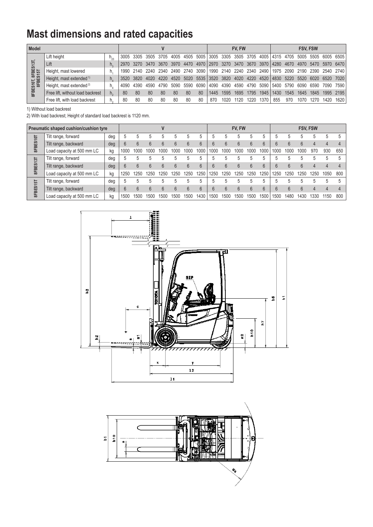# **Mast dimensions and rated capacities**

| <b>Model</b>                        |                                     |    |       |                |      |           |      |      |             |      | <b>FV. FW</b> |                          |      |      |                                    |      | <b>FSV. FSW</b> |                                                             |      |                                                                                      |  |  |
|-------------------------------------|-------------------------------------|----|-------|----------------|------|-----------|------|------|-------------|------|---------------|--------------------------|------|------|------------------------------------|------|-----------------|-------------------------------------------------------------|------|--------------------------------------------------------------------------------------|--|--|
| 13T<br>8FBES10T, 8FBES1<br>8FBES15T | Lift height                         |    | 3005  |                |      |           |      |      |             |      |               |                          |      |      |                                    |      |                 |                                                             |      | 3305 3505 3705 4005 4505 5005 3005 3305 3505 3705 4005 4315 4705 5005 5505 6005 6505 |  |  |
|                                     | Lift                                |    |       | 2970 3270 3470 |      | 3670 3970 |      | 4470 | 4970   2970 |      |               |                          |      |      |                                    |      |                 | 3270 3470 3670 3970 4280 4670 4970 5470 5970 6470           |      |                                                                                      |  |  |
|                                     | Height, mast lowered                | h. | 1990- | 2140           | 2240 | 2340      | 2490 | 2740 | 3090        |      |               | 1990 2140 2240 2340 2490 |      |      |                                    |      |                 | 1975 2090 2190 2390 2540 2740                               |      |                                                                                      |  |  |
|                                     | Height, mast extended <sup>1)</sup> |    | 3520  | -3820          | 4020 | 4220      | 4520 | 5020 |             |      |               |                          |      |      |                                    |      |                 | 5535 3520 3820 4020 4220 4520 4830 5220 5520 6020 6520 7020 |      |                                                                                      |  |  |
|                                     | Height, mast extended <sup>2)</sup> |    | 4090  | 4390           | 4590 | 4790      | 5090 | 5590 | 6090        | 4090 |               |                          |      |      | 4390 4590 4790 5090 5400 5790 6090 |      |                 | 6590 7090 7590                                              |      |                                                                                      |  |  |
|                                     | Free lift, without load backrest    | h. | 80    | 80             | 80   | 80        | 80   | 80   | -80         | 1445 | 1595          | 1695                     | 1795 | 1945 | 1430                               | 1545 | 1645            | 1845                                                        |      | 1995 2195                                                                            |  |  |
|                                     | Free lift, with load backrest       | n. | 80    | 80             | 80   | 80        | 80   | 80   | 80          | 870  | 1020.         | 1120                     | 1220 | 370  | 855                                | 970  | 1070            | 1270.                                                       | 1420 | 1620                                                                                 |  |  |

1) Without load backrest

2) With load backrest; Height of standard load backrest is 1120 mm.

| Pneumatic shaped cushion/cushion tyre |                            |     |      |      |      |      |      |      |      |      |      | FV, FW |      |                 | <b>FSV, FSW</b> |      |      |      |      |     |
|---------------------------------------|----------------------------|-----|------|------|------|------|------|------|------|------|------|--------|------|-----------------|-----------------|------|------|------|------|-----|
| 8FBES10T                              | Tilt range, forward        | deg |      |      |      |      |      |      |      |      |      | b      | b    | b               |                 | h    | 5    | 5    | 5    |     |
|                                       | Tilt range, backward       | deg |      | h    | h    | 6    |      | 6    | ĥ    | h    | h    | 6      | 6    | $6\overline{6}$ | ĥ               | 6    | h    |      |      |     |
|                                       | Load capacity at 500 mm LC | kg  | 1000 | 1000 | 1000 | 1000 | 1001 | 1000 | 1000 | 1000 | 1000 | 1000   | 1000 | 1000            | 1000            | 100C | 1000 | 970  | 930  | 650 |
| 8FBES13T                              | Tilt range, forward        | deg |      | 5    |      | 5    |      |      |      |      | .h   | h      | 5    | 5               |                 | 5    | 5    | .h   | 5    | 5   |
|                                       | Tilt range, backward       | deg |      | 6    | 6    | 6    | 6    | 6    | ĥ    | 6    | 6    | 6      | 6    | 6               | $6\overline{6}$ | 6    | 6    | 4    |      |     |
|                                       | Load capacity at 500 mm LC | kg  | 250  | 1250 | 250  | 250  | 1250 | 1250 | 1250 | 1250 | 1250 | 250    | 1250 | 1250            | 1250            | 1250 | 250  | 1250 | 1050 | 800 |
| 8FBES15T                              | Tilt range, forward        | deg |      | h    |      |      |      |      |      |      |      | .5     | 5    | 5               |                 | 5    | h.   | .h   | 5    |     |
|                                       | Tilt range, backward       | deg |      | 6    | 6    | 6    | հ    | 6    | ĥ    | հ    | 6    | 6      | 6    | $6\overline{6}$ | $\sqrt{2}$      | 6    | 6    |      |      |     |
|                                       | Load capacity at 500 mm LC | kg  | 1500 | 1500 | 1500 | 1500 | 1500 | 1500 | 1430 | 1500 | 1500 | 1500   | 1500 | 1500            | 1500            | 1480 | 1430 | 1330 | 1150 | 800 |